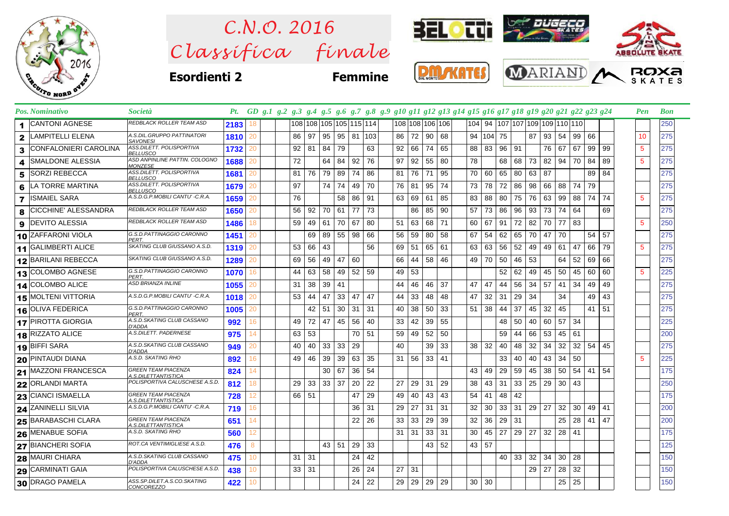

 $Clas$ s *ifica* finale *C.N.O. 2016*



**Esordienti 2 Femmine**







|                | Pos. Nominativo             | <i>Società</i>                                    |      | Pt. GD g.1 g.2 g.3 g.4 g.5 g.6 g.7 g.8 g.9 g10 g11 g12 g13 g14 g15 g16 g17 g18 g19 g20 g21 g22 g23 g24 |       |                         |     |    |           |     |    |     |                 |    |                 |               |    |                 |              |                                |              |       |                 |    | Pen | <b>Bon</b> |
|----------------|-----------------------------|---------------------------------------------------|------|--------------------------------------------------------------------------------------------------------|-------|-------------------------|-----|----|-----------|-----|----|-----|-----------------|----|-----------------|---------------|----|-----------------|--------------|--------------------------------|--------------|-------|-----------------|----|-----|------------|
| 1.             | <b>CANTONI AGNESE</b>       | REDBLACK ROLLER TEAM ASD                          | 2183 | 18                                                                                                     |       | 108 108 105 105 115 114 |     |    |           |     |    |     | 108 108 106 106 |    |                 |               |    |                 |              | 104 94 107 107 109 109 110 110 |              |       |                 |    |     | 250        |
| $\mathbf{2}$   | <b>LAMPITELLI ELENA</b>     | A.S.DIL.GRUPPO PATTINATORI<br><b>SAVONESI</b>     | 1810 | 20                                                                                                     | 86    | 97                      | 95  |    | 95 81 103 |     | 86 | 72  | 90              | 68 |                 | 94   104   75 |    |                 |              | 87   93   54   99   66         |              |       |                 |    | 10  | 275        |
| 3              | CONFALONIERI CAROLINA       | ASS.DILETT. POLISPORTIVA<br><b>BELLUSCO</b>       | 1732 | 20                                                                                                     | 92    | 81                      | 84  | 79 |           | 63  | 92 | 66  | 74              | 65 | 88              | 83            | 96 | 91              |              | 76                             | 67           | 67    | 99              | 99 | -5  | 275        |
| 4              | SMALDONE ALESSIA            | ASD ANPINLINE PATTIN. COLOGNO<br><b>MONZESE</b>   | 1688 | 20                                                                                                     | 72    |                         | 64  | 84 | 92        | 76  | 97 | 92  | 55              | 80 | 78              |               | 68 | 68 I            | 73           | 82                             | 94 70        |       | 84              | 89 | 5   | 275        |
| 5              | <b>SORZI REBECCA</b>        | ASS.DILETT. POLISPORTIVA<br><b>BELLUSCO</b>       | 1681 | 20                                                                                                     | 81    | 76 79                   |     | 89 | 74        | 86  | 81 | 76  | 71              | 95 |                 | 70 60         | 65 | 80 63           |              | 87                             |              |       | 89              | 84 |     | 275        |
| 6              | LA TORRE MARTINA            | ASS.DILETT. POLISPORTIVA<br><b>BELLUSCO</b>       | 1679 | 20                                                                                                     | 97    |                         | 74  | 74 | 49        | 70  | 76 | -81 | 95              | 74 |                 | 73   78       | 72 | 86              | 98           | 66                             | 88   74      |       | 79              |    |     | 275        |
| $\overline{7}$ | <b>ISMAIEL SARA</b>         | A.S.D.G.P.MOBILI CANTU' -C.R.A.                   | 1659 | 20                                                                                                     | 76    |                         |     | 58 | 86        | 91  | 63 | 69  | 61              | 85 | 83              | 88            | 80 | 75              | 76 63        |                                | 99           | 88    | 74              | 74 | 5   | 275        |
| 8              | <b>CICCHINE' ALESSANDRA</b> | REDBLACK ROLLER TEAM ASD                          | 1650 | 20                                                                                                     | 56    | 92                      | 70  | 61 | 77        | 73  |    | 86  | 85              | 90 | 57              | 73            | 86 |                 | 96 93 73     |                                | 74 64        |       |                 | 69 |     | 275        |
| 9              | <b>DEVITO ALESSIA</b>       | REDBLACK ROLLER TEAM ASD                          | 1486 | 18                                                                                                     | 59    | 49   61                 |     | 70 | 67        | 80  | 51 | 63  | 68              | 71 | 60 67           |               | 91 | 72   82         |              | 70                             | 77           | 83    |                 |    | 5   | 250        |
|                | 10 ZAFFARONI VIOLA          | G.S.D.PATTINAGGIO CARONNO<br>PERT.                | 1451 | 20                                                                                                     |       | 69                      | 89  | 55 | 98        | 66  | 56 | 59  | 80              | 58 | 67              | 54            | 62 | 65              | 70   47      |                                | 70           |       | 54              | 57 |     | 275        |
|                | 11 GALIMBERTI ALICE         | SKATING CLUB GIUSSANO A.S.D.                      | 1319 | 20                                                                                                     | 53    | 66                      | 43  |    |           | 56  | 69 | -51 | 65              | 61 | 63              | 63            | 56 | 52 <sub>1</sub> | 49 49        |                                | 61           | 47    | 66              | 79 | 5   | 275        |
|                | 12 BARILANI REBECCA         | SKATING CLUB GIUSSANO A.S.D.                      | 1289 | 20                                                                                                     | 69    | 56                      | 49  | 47 | 60        |     | 66 | 44  | 58              | 46 | 49              | 70            | 50 | 46              | 53           |                                | 64           | 52    | 69              | 66 |     | 275        |
|                | 13 COLOMBO AGNESE           | G.S.D.PATTINAGGIO CARONNO<br>PERT.                | 1070 | 16                                                                                                     | 44    | 63                      | 58  | 49 | 52 59     |     | 49 | 53  |                 |    |                 |               | 52 | 62              | 49           | 45                             | 50           | 45    | 60              | 60 | 5   | 225        |
|                | 14 COLOMBO ALICE            | ASD BRIANZA INLINE                                | 1055 | 20                                                                                                     | 31    | 38                      | 39  | 41 |           |     | 44 | 46  | 46              | 37 | 47              | 47            | 44 | 56              | 34           | 57                             | 41           | 34    | 49              | 49 |     | 275        |
|                | <b>15 MOLTENI VITTORIA</b>  | A.S.D.G.P.MOBILI CANTU' -C.R.A.                   | 1018 | 20                                                                                                     | 53    | 44                      | 47  | 33 | 47        | 47  | 44 | 33  | 48              | 48 | 47              | 32            | 31 | 29              | 34           |                                | 34           |       | 49              | 43 |     | 275        |
|                | 16 OLIVA FEDERICA           | G.S.D.PATTINAGGIO CARONNO<br>PERT.                | 1005 | 20                                                                                                     |       | 42                      | -51 | 30 | 31        | -31 | 40 | 38  | 50              | 33 | 51 <sup>1</sup> | 38            | 44 | 37              | 45 32        |                                | 45           |       | 41 <sup>1</sup> | 51 |     | 275        |
|                | 17 PIROTTA GIORGIA          | A.S.D.SKATING CLUB CASSANO<br>D'ADDA              | 992  | 16                                                                                                     | 49    | 72                      | 47  | 45 | 56        | 40  | 33 | 42  | 39              | 55 |                 |               | 48 | 50              | 40           | 60                             | 57           | 34    |                 |    |     | 225        |
|                | 18 RIZZATO ALICE            | A.S.DILETT. PADERNESE                             | 975  | 14                                                                                                     | 63    | 53                      |     |    | 70 51     |     | 59 | 49  | 52              | 50 |                 |               | 59 | 44              | 66           | 53                             | 45           | 61    |                 |    |     | 200        |
|                | 19 BIFFI SARA               | A.S.D.SKATING CLUB CASSANO<br>D'ADDA              | 949  | 20                                                                                                     | 40    | 40                      | 33  | 33 | 29        |     | 40 |     | 39              | 33 | 38              | 32            | 40 | 48              | 32           | 34                             | 32           | 32    | 54              | 45 |     | 275        |
|                | 20 PINTAUDI DIANA           | A.S.D. SKATING RHO                                | 892  | 16                                                                                                     | 49    | 46                      | 39  | 39 | 63        | 35  | 31 | 56  | 33 <sup>1</sup> | 41 |                 |               | 33 | 40              | 40           | 43                             | 34           | 50    |                 |    | 5   | 225        |
|                | 21 MAZZONI FRANCESCA        | <b>GREEN TEAM PIACENZA</b><br>A.S.DILETTANTISTICA | 824  | 14                                                                                                     |       |                         | 30  | 67 | 36        | -54 |    |     |                 |    | 43              | 49            | 29 | 59              | 45           | 38                             | 50           |       | $54 \mid 41$    | 54 |     | 175        |
|                | 22 ORLANDI MARTA            | POLISPORTIVA CALUSCHESE A.S.D.                    | 812  | 18                                                                                                     | 29    | 33                      | 33  | 37 | 20        | 22  | 27 | 29  | 31              | 29 | 38              | 43            | 31 | 33 I            | $25 \mid 29$ |                                | $30 \mid 43$ |       |                 |    |     | 250        |
|                | 23 CIANCI ISMAELLA          | <b>GREEN TEAM PIACENZA</b><br>A.S.DILETTANTISTICA | 728  | 12                                                                                                     | 66 51 |                         |     |    | 47        | 29  | 49 | 40  | 43              | 43 | 54              | 41            | 48 | 42              |              |                                |              |       |                 |    |     | 175        |
|                | 24 ZANINELLI SILVIA         | A.S.D.G.P.MOBILI CANTU' -C.R.A.                   | 719  | 16                                                                                                     |       |                         |     |    | 36        | 31  | 29 | 27  | 31              | 31 | 32              | 30            | 33 | 31              | 29 27        |                                | 32           | 30    | 49              | 41 |     | 200        |
|                | 25 BARABASCHI CLARA         | <b>GREEN TEAM PIACENZA</b><br>A.S.DILETTANTISTICA | 651  | 14                                                                                                     |       |                         |     |    | 22        | 26  | 33 | 33  | 29              | 39 | 32              | 36            | 29 | 31              |              |                                | 25           | 28 41 |                 | 47 |     | 200        |
|                | 26 MENABUE SOFIA            | A.S.D. SKATING RHO                                | 560  | 12                                                                                                     |       |                         |     |    |           |     | 31 | -31 | 33              | 31 | 30              | 45            | 27 | 29              | 27 32        |                                | 28 41        |       |                 |    |     | 175        |
|                | 27 BIANCHERI SOFIA          | ROT.CA VENTIMIGLIESE A.S.D.                       | 476  | 8                                                                                                      |       |                         | 43  | 51 | 29        | 33  |    |     | 43              | 52 | 43 57           |               |    |                 |              |                                |              |       |                 |    |     | 125        |
|                | 28 MAURI CHIARA             | A.S.D.SKATING CLUB CASSANO<br><b>D'ADDA</b>       | 475  | 10                                                                                                     | 31    | 31                      |     |    | 24        | 42  |    |     |                 |    |                 |               |    |                 | 40 33 32 34  |                                | 30 28        |       |                 |    |     | 150        |
|                | 29 CARMINATI GAIA           | POLISPORTIVA CALUSCHESE A.S.D.                    | 438  | 10                                                                                                     | 33    | 31                      |     |    | 26        | 24  | 27 | 31  |                 |    |                 |               |    |                 | 29           | 27                             | 28           | 32    |                 |    |     | 150        |
|                | 30 DRAGO PAMELA             | ASS.SP.DILET.A.S.CO.SKATING<br>CONCOREZZO         | 422  | 10                                                                                                     |       |                         |     |    | 24        | 22  | 29 | 29  | 29              | 29 | 30 <sup>1</sup> | -30           |    |                 |              |                                | 25           | 25    |                 |    |     | 150        |